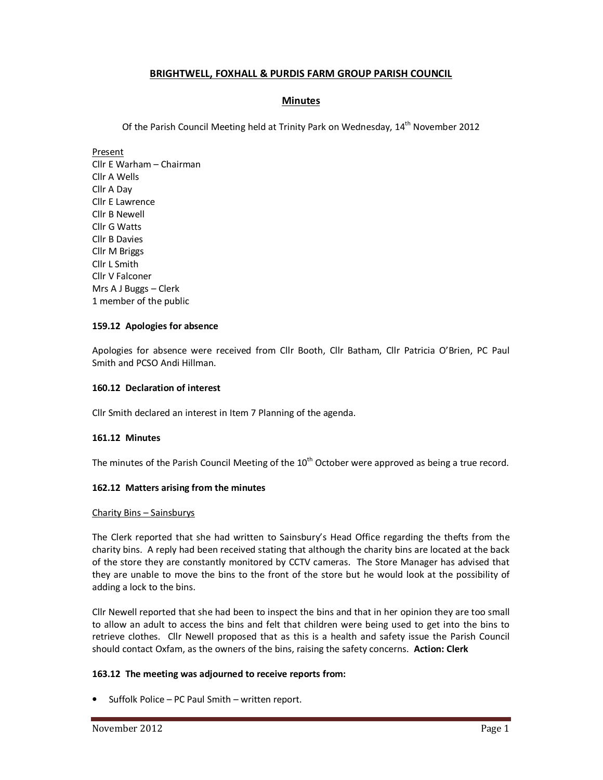# **BRIGHTWELL, FOXHALL & PURDIS FARM GROUP PARISH COUNCIL**

# **Minutes**

Of the Parish Council Meeting held at Trinity Park on Wednesday, 14<sup>th</sup> November 2012

Present Cllr E Warham – Chairman Cllr A Wells Cllr A Day Cllr E Lawrence Cllr B Newell Cllr G Watts Cllr B Davies Cllr M Briggs Cllr L Smith Cllr V Falconer Mrs A J Buggs – Clerk 1 member of the public

### **159.12 Apologies for absence**

Apologies for absence were received from Cllr Booth, Cllr Batham, Cllr Patricia O'Brien, PC Paul Smith and PCSO Andi Hillman.

### **160.12 Declaration of interest**

Cllr Smith declared an interest in Item 7 Planning of the agenda.

### **161.12 Minutes**

The minutes of the Parish Council Meeting of the  $10<sup>th</sup>$  October were approved as being a true record.

### **162.12 Matters arising from the minutes**

### Charity Bins – Sainsburys

The Clerk reported that she had written to Sainsbury's Head Office regarding the thefts from the charity bins. A reply had been received stating that although the charity bins are located at the back of the store they are constantly monitored by CCTV cameras. The Store Manager has advised that they are unable to move the bins to the front of the store but he would look at the possibility of adding a lock to the bins.

Cllr Newell reported that she had been to inspect the bins and that in her opinion they are too small to allow an adult to access the bins and felt that children were being used to get into the bins to retrieve clothes. Cllr Newell proposed that as this is a health and safety issue the Parish Council should contact Oxfam, as the owners of the bins, raising the safety concerns. **Action: Clerk** 

# **163.12 The meeting was adjourned to receive reports from:**

• Suffolk Police – PC Paul Smith – written report.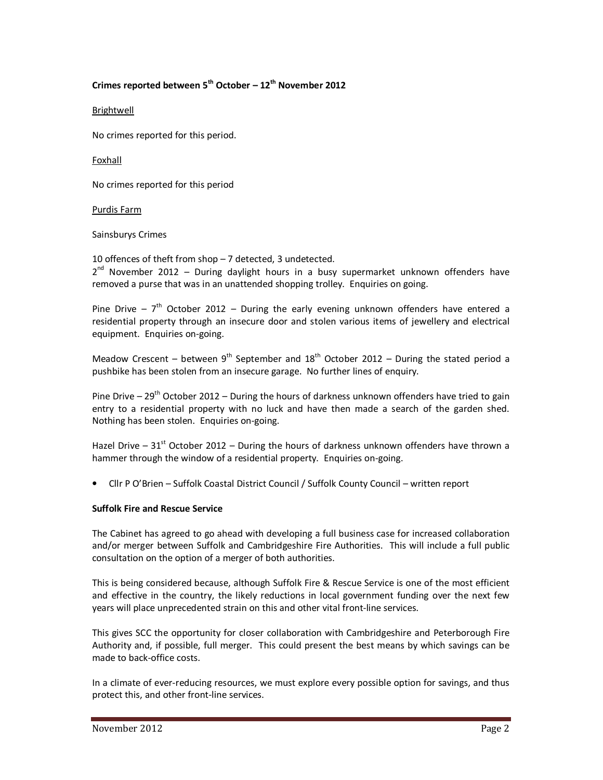# **Crimes reported between 5th October – 12th November 2012**

Brightwell

No crimes reported for this period.

Foxhall

No crimes reported for this period

### Purdis Farm

#### Sainsburys Crimes

10 offences of theft from shop – 7 detected, 3 undetected. 2<sup>nd</sup> November 2012 - During daylight hours in a busy supermarket unknown offenders have removed a purse that was in an unattended shopping trolley. Enquiries on going.

Pine Drive –  $7<sup>th</sup>$  October 2012 – During the early evening unknown offenders have entered a residential property through an insecure door and stolen various items of jewellery and electrical equipment. Enquiries on-going.

Meadow Crescent – between  $9^{th}$  September and  $18^{th}$  October 2012 – During the stated period a pushbike has been stolen from an insecure garage. No further lines of enquiry.

Pine Drive –  $29^{th}$  October 2012 – During the hours of darkness unknown offenders have tried to gain entry to a residential property with no luck and have then made a search of the garden shed. Nothing has been stolen. Enquiries on-going.

Hazel Drive –  $31^{st}$  October 2012 – During the hours of darkness unknown offenders have thrown a hammer through the window of a residential property. Enquiries on-going.

• Cllr P O'Brien – Suffolk Coastal District Council / Suffolk County Council – written report

### **Suffolk Fire and Rescue Service**

The Cabinet has agreed to go ahead with developing a full business case for increased collaboration and/or merger between Suffolk and Cambridgeshire Fire Authorities. This will include a full public consultation on the option of a merger of both authorities.

This is being considered because, although Suffolk Fire & Rescue Service is one of the most efficient and effective in the country, the likely reductions in local government funding over the next few years will place unprecedented strain on this and other vital front-line services.

This gives SCC the opportunity for closer collaboration with Cambridgeshire and Peterborough Fire Authority and, if possible, full merger. This could present the best means by which savings can be made to back-office costs.

In a climate of ever-reducing resources, we must explore every possible option for savings, and thus protect this, and other front-line services.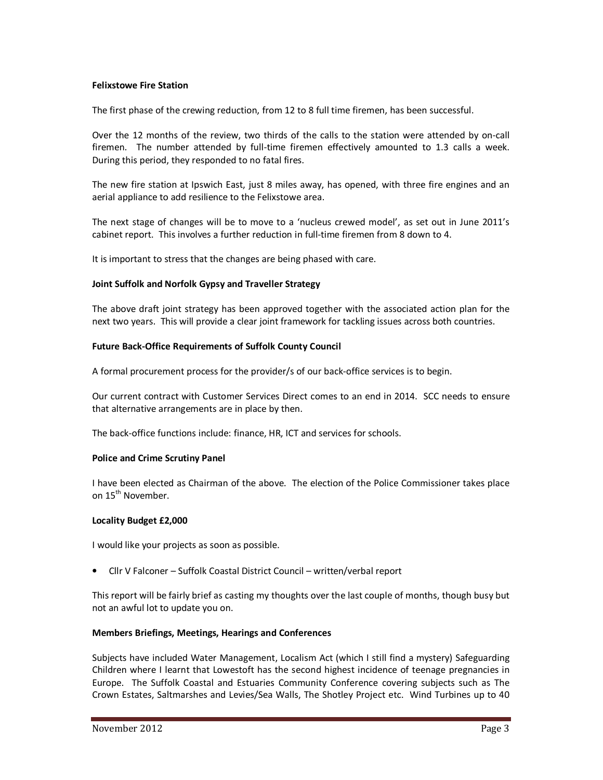#### **Felixstowe Fire Station**

The first phase of the crewing reduction, from 12 to 8 full time firemen, has been successful.

Over the 12 months of the review, two thirds of the calls to the station were attended by on-call firemen. The number attended by full-time firemen effectively amounted to 1.3 calls a week. During this period, they responded to no fatal fires.

The new fire station at Ipswich East, just 8 miles away, has opened, with three fire engines and an aerial appliance to add resilience to the Felixstowe area.

The next stage of changes will be to move to a 'nucleus crewed model', as set out in June 2011's cabinet report. This involves a further reduction in full-time firemen from 8 down to 4.

It is important to stress that the changes are being phased with care.

#### **Joint Suffolk and Norfolk Gypsy and Traveller Strategy**

The above draft joint strategy has been approved together with the associated action plan for the next two years. This will provide a clear joint framework for tackling issues across both countries.

#### **Future Back-Office Requirements of Suffolk County Council**

A formal procurement process for the provider/s of our back-office services is to begin.

Our current contract with Customer Services Direct comes to an end in 2014. SCC needs to ensure that alternative arrangements are in place by then.

The back-office functions include: finance, HR, ICT and services for schools.

#### **Police and Crime Scrutiny Panel**

I have been elected as Chairman of the above. The election of the Police Commissioner takes place on 15th November.

#### **Locality Budget £2,000**

I would like your projects as soon as possible.

• Cllr V Falconer – Suffolk Coastal District Council – written/verbal report

This report will be fairly brief as casting my thoughts over the last couple of months, though busy but not an awful lot to update you on.

### **Members Briefings, Meetings, Hearings and Conferences**

Subjects have included Water Management, Localism Act (which I still find a mystery) Safeguarding Children where I learnt that Lowestoft has the second highest incidence of teenage pregnancies in Europe. The Suffolk Coastal and Estuaries Community Conference covering subjects such as The Crown Estates, Saltmarshes and Levies/Sea Walls, The Shotley Project etc. Wind Turbines up to 40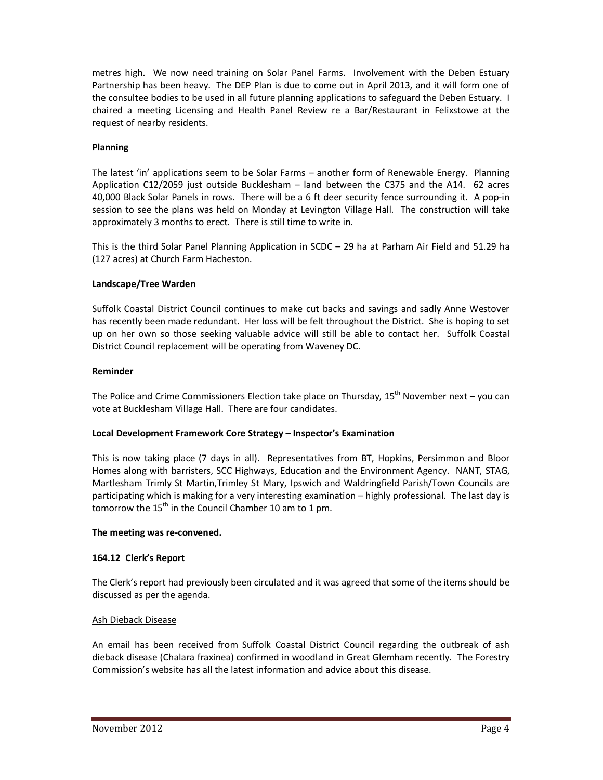metres high. We now need training on Solar Panel Farms. Involvement with the Deben Estuary Partnership has been heavy. The DEP Plan is due to come out in April 2013, and it will form one of the consultee bodies to be used in all future planning applications to safeguard the Deben Estuary. I chaired a meeting Licensing and Health Panel Review re a Bar/Restaurant in Felixstowe at the request of nearby residents.

### **Planning**

The latest 'in' applications seem to be Solar Farms – another form of Renewable Energy. Planning Application C12/2059 just outside Bucklesham – land between the C375 and the A14. 62 acres 40,000 Black Solar Panels in rows. There will be a 6 ft deer security fence surrounding it. A pop-in session to see the plans was held on Monday at Levington Village Hall. The construction will take approximately 3 months to erect. There is still time to write in.

This is the third Solar Panel Planning Application in SCDC – 29 ha at Parham Air Field and 51.29 ha (127 acres) at Church Farm Hacheston.

### **Landscape/Tree Warden**

Suffolk Coastal District Council continues to make cut backs and savings and sadly Anne Westover has recently been made redundant. Her loss will be felt throughout the District. She is hoping to set up on her own so those seeking valuable advice will still be able to contact her. Suffolk Coastal District Council replacement will be operating from Waveney DC.

### **Reminder**

The Police and Crime Commissioners Election take place on Thursday,  $15<sup>th</sup>$  November next – you can vote at Bucklesham Village Hall. There are four candidates.

# **Local Development Framework Core Strategy – Inspector's Examination**

This is now taking place (7 days in all). Representatives from BT, Hopkins, Persimmon and Bloor Homes along with barristers, SCC Highways, Education and the Environment Agency. NANT, STAG, Martlesham Trimly St Martin,Trimley St Mary, Ipswich and Waldringfield Parish/Town Councils are participating which is making for a very interesting examination – highly professional. The last day is tomorrow the  $15<sup>th</sup>$  in the Council Chamber 10 am to 1 pm.

### **The meeting was re-convened.**

# **164.12 Clerk's Report**

The Clerk's report had previously been circulated and it was agreed that some of the items should be discussed as per the agenda.

### Ash Dieback Disease

An email has been received from Suffolk Coastal District Council regarding the outbreak of ash dieback disease (Chalara fraxinea) confirmed in woodland in Great Glemham recently. The Forestry Commission's website has all the latest information and advice about this disease.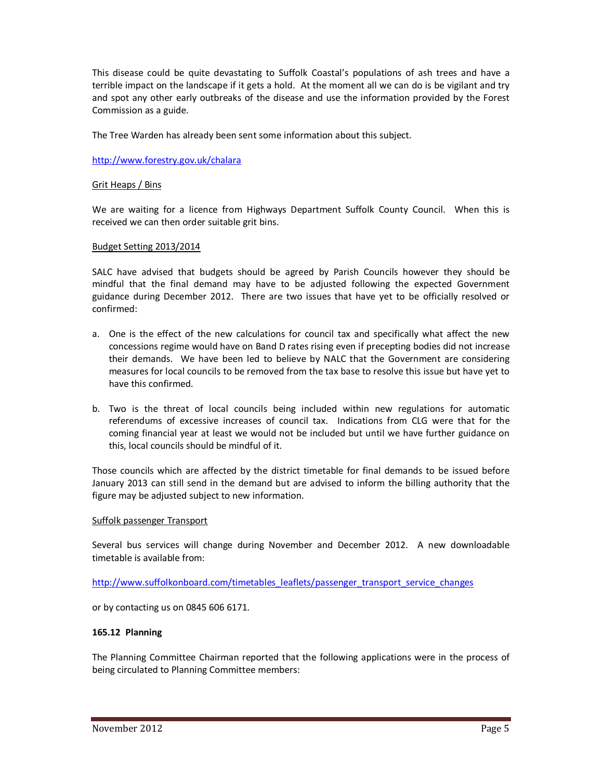This disease could be quite devastating to Suffolk Coastal's populations of ash trees and have a terrible impact on the landscape if it gets a hold. At the moment all we can do is be vigilant and try and spot any other early outbreaks of the disease and use the information provided by the Forest Commission as a guide.

The Tree Warden has already been sent some information about this subject.

http://www.forestry.gov.uk/chalara

### Grit Heaps / Bins

We are waiting for a licence from Highways Department Suffolk County Council. When this is received we can then order suitable grit bins.

#### Budget Setting 2013/2014

SALC have advised that budgets should be agreed by Parish Councils however they should be mindful that the final demand may have to be adjusted following the expected Government guidance during December 2012. There are two issues that have yet to be officially resolved or confirmed:

- a. One is the effect of the new calculations for council tax and specifically what affect the new concessions regime would have on Band D rates rising even if precepting bodies did not increase their demands. We have been led to believe by NALC that the Government are considering measures for local councils to be removed from the tax base to resolve this issue but have yet to have this confirmed.
- b. Two is the threat of local councils being included within new regulations for automatic referendums of excessive increases of council tax. Indications from CLG were that for the coming financial year at least we would not be included but until we have further guidance on this, local councils should be mindful of it.

Those councils which are affected by the district timetable for final demands to be issued before January 2013 can still send in the demand but are advised to inform the billing authority that the figure may be adjusted subject to new information.

### Suffolk passenger Transport

Several bus services will change during November and December 2012. A new downloadable timetable is available from:

http://www.suffolkonboard.com/timetables\_leaflets/passenger\_transport\_service\_changes

or by contacting us on 0845 606 6171.

### **165.12 Planning**

The Planning Committee Chairman reported that the following applications were in the process of being circulated to Planning Committee members: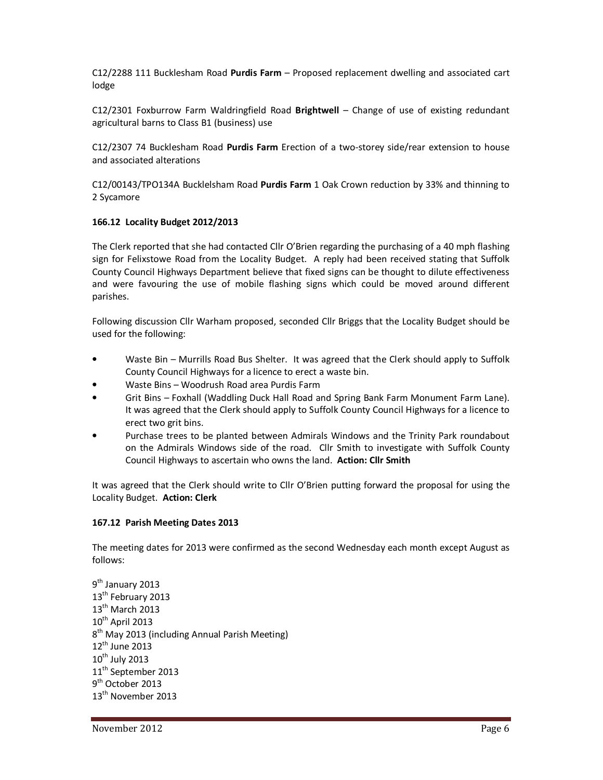C12/2288 111 Bucklesham Road **Purdis Farm** – Proposed replacement dwelling and associated cart lodge

C12/2301 Foxburrow Farm Waldringfield Road **Brightwell** – Change of use of existing redundant agricultural barns to Class B1 (business) use

C12/2307 74 Bucklesham Road **Purdis Farm** Erection of a two-storey side/rear extension to house and associated alterations

C12/00143/TPO134A Bucklelsham Road **Purdis Farm** 1 Oak Crown reduction by 33% and thinning to 2 Sycamore

### **166.12 Locality Budget 2012/2013**

The Clerk reported that she had contacted Cllr O'Brien regarding the purchasing of a 40 mph flashing sign for Felixstowe Road from the Locality Budget. A reply had been received stating that Suffolk County Council Highways Department believe that fixed signs can be thought to dilute effectiveness and were favouring the use of mobile flashing signs which could be moved around different parishes.

Following discussion Cllr Warham proposed, seconded Cllr Briggs that the Locality Budget should be used for the following:

- Waste Bin Murrills Road Bus Shelter. It was agreed that the Clerk should apply to Suffolk County Council Highways for a licence to erect a waste bin.
- Waste Bins Woodrush Road area Purdis Farm
- Grit Bins Foxhall (Waddling Duck Hall Road and Spring Bank Farm Monument Farm Lane). It was agreed that the Clerk should apply to Suffolk County Council Highways for a licence to erect two grit bins.
- Purchase trees to be planted between Admirals Windows and the Trinity Park roundabout on the Admirals Windows side of the road. Cllr Smith to investigate with Suffolk County Council Highways to ascertain who owns the land. **Action: Cllr Smith**

It was agreed that the Clerk should write to Cllr O'Brien putting forward the proposal for using the Locality Budget. **Action: Clerk** 

# **167.12 Parish Meeting Dates 2013**

The meeting dates for 2013 were confirmed as the second Wednesday each month except August as follows:

9<sup>th</sup> January 2013 13<sup>th</sup> February 2013 13<sup>th</sup> March 2013  $10^{th}$  April 2013  $8<sup>th</sup>$  May 2013 (including Annual Parish Meeting) 12<sup>th</sup> June 2013  $10^{th}$  July 2013 11<sup>th</sup> September 2013 9<sup>th</sup> October 2013 13<sup>th</sup> November 2013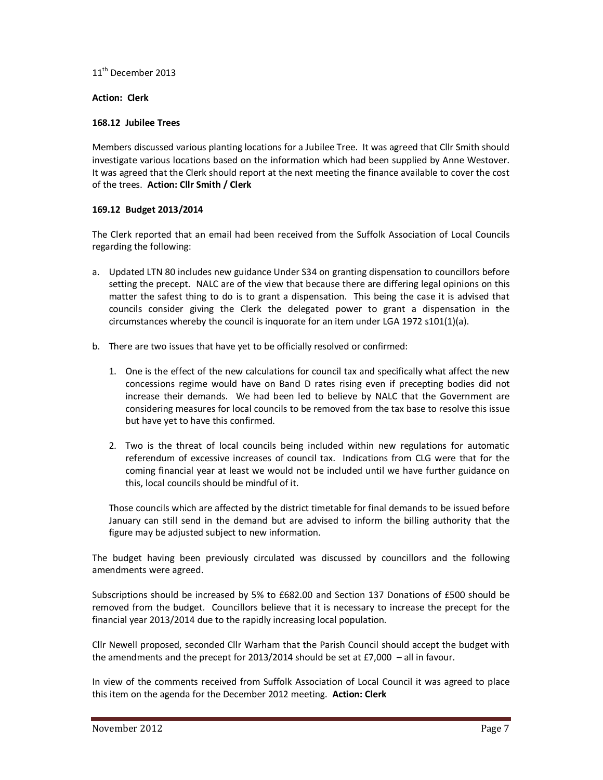11<sup>th</sup> December 2013

### **Action: Clerk**

### **168.12 Jubilee Trees**

Members discussed various planting locations for a Jubilee Tree. It was agreed that Cllr Smith should investigate various locations based on the information which had been supplied by Anne Westover. It was agreed that the Clerk should report at the next meeting the finance available to cover the cost of the trees. **Action: Cllr Smith / Clerk** 

# **169.12 Budget 2013/2014**

The Clerk reported that an email had been received from the Suffolk Association of Local Councils regarding the following:

- a. Updated LTN 80 includes new guidance Under S34 on granting dispensation to councillors before setting the precept. NALC are of the view that because there are differing legal opinions on this matter the safest thing to do is to grant a dispensation. This being the case it is advised that councils consider giving the Clerk the delegated power to grant a dispensation in the circumstances whereby the council is inquorate for an item under LGA 1972 s101(1)(a).
- b. There are two issues that have yet to be officially resolved or confirmed:
	- 1. One is the effect of the new calculations for council tax and specifically what affect the new concessions regime would have on Band D rates rising even if precepting bodies did not increase their demands. We had been led to believe by NALC that the Government are considering measures for local councils to be removed from the tax base to resolve this issue but have yet to have this confirmed.
	- 2. Two is the threat of local councils being included within new regulations for automatic referendum of excessive increases of council tax. Indications from CLG were that for the coming financial year at least we would not be included until we have further guidance on this, local councils should be mindful of it.

Those councils which are affected by the district timetable for final demands to be issued before January can still send in the demand but are advised to inform the billing authority that the figure may be adjusted subject to new information.

The budget having been previously circulated was discussed by councillors and the following amendments were agreed.

Subscriptions should be increased by 5% to £682.00 and Section 137 Donations of £500 should be removed from the budget. Councillors believe that it is necessary to increase the precept for the financial year 2013/2014 due to the rapidly increasing local population.

Cllr Newell proposed, seconded Cllr Warham that the Parish Council should accept the budget with the amendments and the precept for 2013/2014 should be set at £7,000 – all in favour.

In view of the comments received from Suffolk Association of Local Council it was agreed to place this item on the agenda for the December 2012 meeting. **Action: Clerk**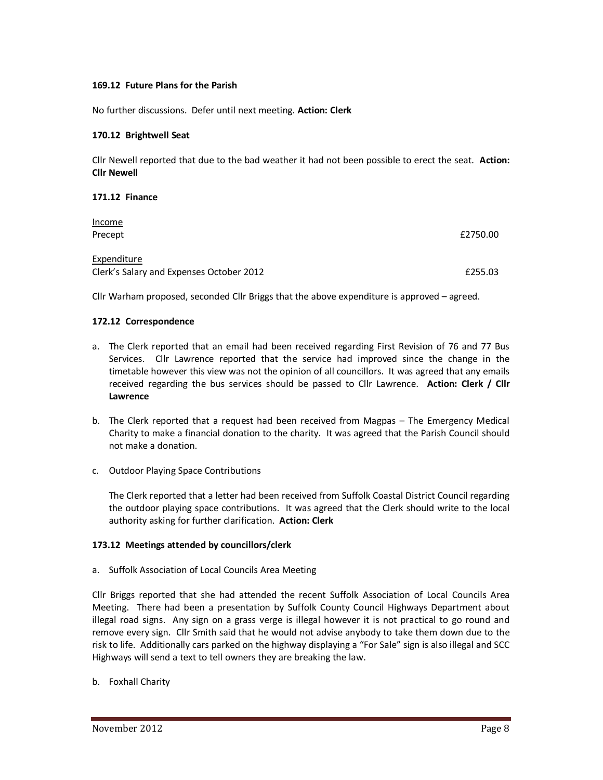### **169.12 Future Plans for the Parish**

No further discussions. Defer until next meeting. **Action: Clerk** 

#### **170.12 Brightwell Seat**

Cllr Newell reported that due to the bad weather it had not been possible to erect the seat. **Action: Cllr Newell**

### **171.12 Finance**

| <u>Income</u><br>Precept                                | £2750.00 |
|---------------------------------------------------------|----------|
| Expenditure<br>Clerk's Salary and Expenses October 2012 | £255.03  |

Cllr Warham proposed, seconded Cllr Briggs that the above expenditure is approved – agreed.

#### **172.12 Correspondence**

- a. The Clerk reported that an email had been received regarding First Revision of 76 and 77 Bus Services. Cllr Lawrence reported that the service had improved since the change in the timetable however this view was not the opinion of all councillors. It was agreed that any emails received regarding the bus services should be passed to Cllr Lawrence. **Action: Clerk / Cllr Lawrence**
- b. The Clerk reported that a request had been received from Magpas The Emergency Medical Charity to make a financial donation to the charity. It was agreed that the Parish Council should not make a donation.
- c. Outdoor Playing Space Contributions

The Clerk reported that a letter had been received from Suffolk Coastal District Council regarding the outdoor playing space contributions. It was agreed that the Clerk should write to the local authority asking for further clarification. **Action: Clerk** 

### **173.12 Meetings attended by councillors/clerk**

a. Suffolk Association of Local Councils Area Meeting

Cllr Briggs reported that she had attended the recent Suffolk Association of Local Councils Area Meeting. There had been a presentation by Suffolk County Council Highways Department about illegal road signs. Any sign on a grass verge is illegal however it is not practical to go round and remove every sign. Cllr Smith said that he would not advise anybody to take them down due to the risk to life. Additionally cars parked on the highway displaying a "For Sale" sign is also illegal and SCC Highways will send a text to tell owners they are breaking the law.

b. Foxhall Charity